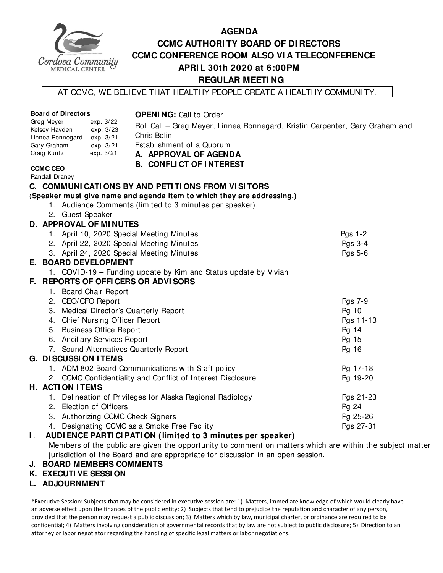

## **AGENDA CCMC AUTHORI TY BOARD OF DI RECTORS CCMC CONFERENCE ROOM ALSO VI A TELECONFERENCE APRI L 30th 2020 at 6:00PM REGULAR MEETI NG**

#### AT CCMC, WE BELIEVE THAT HEALTHY PEOPLE CREATE A HEALTHY COMMUNITY.

#### **Board of Directors**

#### Greg Meyer exp. 3/22 Kelsey Hayden exp. 3/23 Linnea Ronnegard exp. 3/21 Gary Graham exp. 3/21 Craig Kuntz exp. 3/21

#### **OPENI NG:** Call to Order

Roll Call – Greg Meyer, Linnea Ronnegard, Kristin Carpenter, Gary Graham and Chris Bolin

Establishment of a Quorum

**A. APPROVAL OF AGENDA** 

**B. CONFLI CT OF I NTEREST** 

#### **CCMC CEO**  Randall Draney

## **C. COMMUNI CATI ONS BY AND PETI TI ONS FROM VI SI TORS**

#### (**Speaker must give name and agenda item to which they are addressing.)**

- 1. Audience Comments (limited to 3 minutes per speaker).
- 2. Guest Speaker

### **D. APPROVAL OF MI NUTES**

|    | 1. April 10, 2020 Special Meeting Minutes                       | Pgs $1-2$ |
|----|-----------------------------------------------------------------|-----------|
|    | 2. April 22, 2020 Special Meeting Minutes                       | Pgs 3-4   |
|    | 3. April 24, 2020 Special Meeting Minutes                       | Pgs 5-6   |
|    | E. BOARD DEVELOPMENT                                            |           |
|    | 1. COVID-19 – Funding update by Kim and Status update by Vivian |           |
|    | F. REPORTS OF OFFICERS OR ADVISORS                              |           |
| 1. | <b>Board Chair Report</b>                                       |           |
|    | 2. CEO/CFO Report                                               | Pgs 7-9   |
|    | 3. Medical Director's Quarterly Report                          | Pg 10     |
|    | 4. Chief Nursing Officer Report                                 | Pgs 11-13 |
|    | 5. Business Office Report                                       | Pg 14     |
|    | 6. Ancillary Services Report                                    | Pg 15     |
|    | 7. Sound Alternatives Quarterly Report                          | Pg 16     |
|    | G. DI SCUSSI ON I TEMS                                          |           |
|    | 1. ADM 802 Board Communications with Staff policy               | Pg 17-18  |
|    | 2. CCMC Confidentiality and Conflict of Interest Disclosure     | Pg 19-20  |
|    | <b>H. ACTION ITEMS</b>                                          |           |
| 1. | Delineation of Privileges for Alaska Regional Radiology         | Pgs 21-23 |
|    | 2. Election of Officers                                         | Pg 24     |
|    | 3. Authorizing CCMC Check Signers                               | Pg 25-26  |
| 4. | Designating CCMC as a Smoke Free Facility                       | Pgs 27-31 |

#### **I** . **AUDI ENCE PARTI CI PATI ON (limited to 3 minutes per speaker)**

Members of the public are given the opportunity to comment on matters which are within the subject matter jurisdiction of the Board and are appropriate for discussion in an open session.

- **J. BOARD MEMBERS COMMENTS**
- **K. EXECUTI VE SESSI ON**
- **L. ADJOURNMENT**

\*Executive Session: Subjects that may be considered in executive session are: 1) Matters, immediate knowledge of which would clearly have an adverse effect upon the finances of the public entity; 2) Subjects that tend to prejudice the reputation and character of any person, provided that the person may request a public discussion; 3) Matters which by law, municipal charter, or ordinance are required to be confidential; 4) Matters involving consideration of governmental records that by law are not subject to public disclosure; 5) Direction to an attorney or labor negotiator regarding the handling of specific legal matters or labor negotiations.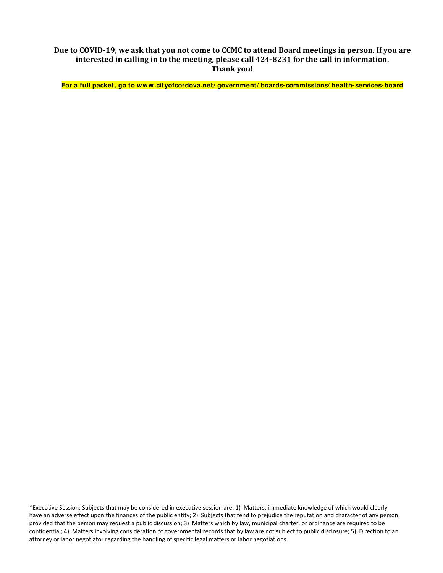Due to COVID-19, we ask that you not come to CCMC to attend Board meetings in person. If you are **interested in calling in to the meeting, please call 424‐8231 for the call in information. Thank you!**

**For a full packet, go to www.cityofcordova.net/ government/ boards-commissions/ health-services-board** 

\*Executive Session: Subjects that may be considered in executive session are: 1) Matters, immediate knowledge of which would clearly have an adverse effect upon the finances of the public entity; 2) Subjects that tend to prejudice the reputation and character of any person, provided that the person may request a public discussion; 3) Matters which by law, municipal charter, or ordinance are required to be confidential; 4) Matters involving consideration of governmental records that by law are not subject to public disclosure; 5) Direction to an attorney or labor negotiator regarding the handling of specific legal matters or labor negotiations.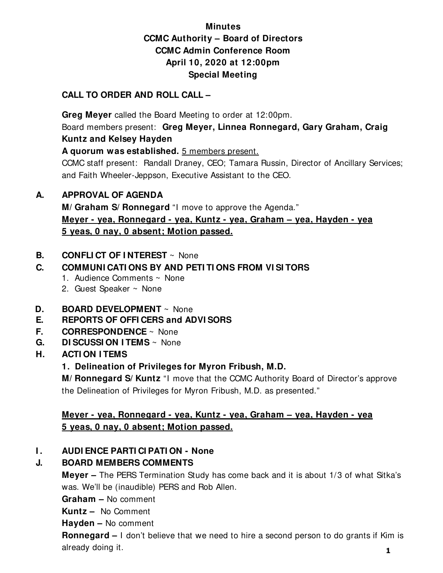## **Minutes CCMC Authority – Board of Directors CCMC Admin Conference Room April 10, 2020 at 12:00pm Special Meeting**

## **CALL TO ORDER AND ROLL CALL –**

 **Greg Meyer** called the Board Meeting to order at 12:00pm. Board members present: **Greg Meyer, Linnea Ronnegard, Gary Graham, Craig Kuntz and Kelsey Hayden** 

**A quorum was established.** 5 members present.

CCMC staff present: Randall Draney, CEO; Tamara Russin, Director of Ancillary Services; and Faith Wheeler-Jeppson, Executive Assistant to the CEO.

## **A. APPROVAL OF AGENDA**

**M/ Graham S/ Ronnegard** "I move to approve the Agenda." **Meyer - yea, Ronnegard - yea, Kuntz - yea, Graham – yea, Hayden - yea 5 yeas, 0 nay, 0 absent; Motion passed.** 

## **B. CONFLI CT OF I NTEREST** ~ None

## **C. COMMUNI CATI ONS BY AND PETI TI ONS FROM VI SI TORS**

- 1. Audience Comments ~ None
- 2. Guest Speaker ~ None
- **D. BOARD DEVELOPMENT** ~ None
- **E. REPORTS OF OFFI CERS and ADVI SORS**
- **F. CORRESPONDENCE** ~ None
- **G. DI SCUSSI ON I TEMS** ~ None
- **H. ACTI ON I TEMS** 
	- **1. Delineation of Privileges for Myron Fribush, M.D.**

**M/ Ronnegard S/ Kuntz** "I move that the CCMC Authority Board of Director's approve the Delineation of Privileges for Myron Fribush, M.D. as presented."

## **Meyer - yea, Ronnegard - yea, Kuntz - yea, Graham – yea, Hayden - yea 5 yeas, 0 nay, 0 absent; Motion passed.**

## **I. AUDI ENCE PARTI CI PATI ON - None**

## **J. BOARD MEMBERS COMMENTS**

**Meyer –** The PERS Termination Study has come back and it is about 1/3 of what Sitka's was. We'll be (inaudible) PERS and Rob Allen.

**Graham –** No comment

**Kuntz –** No Comment

**Hayden –** No comment

**Ronnegard –** I don't believe that we need to hire a second person to do grants if Kim is already doing it. **1**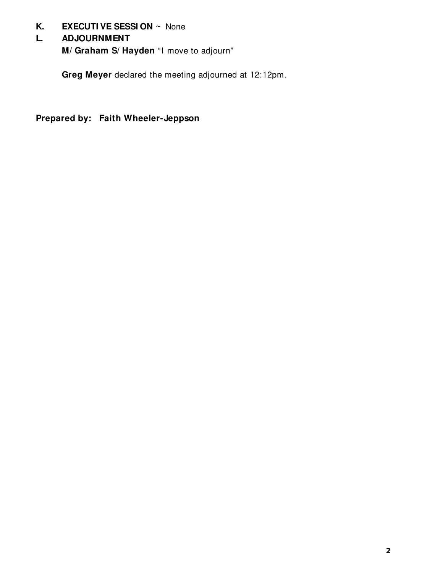## **K. EXECUTI VE SESSI ON ~** None

## **L. ADJOURNMENT**

**M/ Graham S/ Hayden** "I move to adjourn"

**Greg Meyer** declared the meeting adjourned at 12:12pm.

**Prepared by: Faith Wheeler-Jeppson**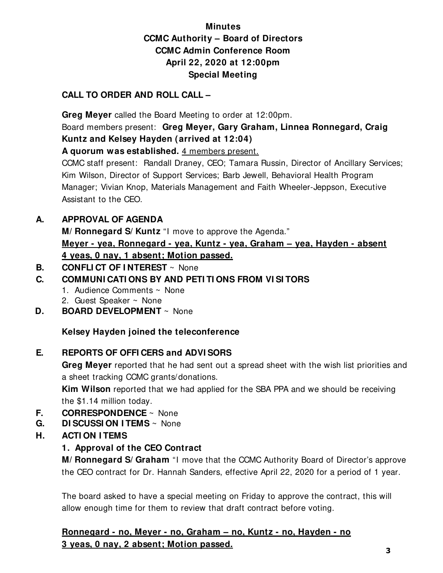## **Minutes CCMC Authority – Board of Directors CCMC Admin Conference Room April 22, 2020 at 12:00pm Special Meeting**

## **CALL TO ORDER AND ROLL CALL –**

 **Greg Meyer** called the Board Meeting to order at 12:00pm. Board members present: **Greg Meyer, Gary Graham, Linnea Ronnegard, Craig Kuntz and Kelsey Hayden (arrived at 12:04)** 

**A quorum was established.** 4 members present.

CCMC staff present: Randall Draney, CEO; Tamara Russin, Director of Ancillary Services; Kim Wilson, Director of Support Services; Barb Jewell, Behavioral Health Program Manager; Vivian Knop, Materials Management and Faith Wheeler-Jeppson, Executive Assistant to the CEO.

## **A. APPROVAL OF AGENDA**

**M/ Ronnegard S/ Kuntz** "I move to approve the Agenda." **Meyer - yea, Ronnegard - yea, Kuntz - yea, Graham – yea, Hayden - absent 4 yeas, 0 nay, 1 absent; Motion passed.** 

## **B. CONFLI CT OF I NTEREST** ~ None

## **C. COMMUNI CATI ONS BY AND PETI TI ONS FROM VI SI TORS**

- 1. Audience Comments ~ None
- 2. Guest Speaker ~ None
- **D. BOARD DEVELOPMENT** ~ None

## **Kelsey Hayden joined the teleconference**

## **E. REPORTS OF OFFI CERS and ADVI SORS**

**Greg Meyer** reported that he had sent out a spread sheet with the wish list priorities and a sheet tracking CCMC grants/donations.

**Kim Wilson** reported that we had applied for the SBA PPA and we should be receiving the \$1.14 million today.

- **F. CORRESPONDENCE** ~ None
- **G. DI SCUSSI ON I TEMS** ~ None
- **H. ACTI ON I TEMS** 
	- **1. Approval of the CEO Contract**

**M/ Ronnegard S/ Graham** "I move that the CCMC Authority Board of Director's approve the CEO contract for Dr. Hannah Sanders, effective April 22, 2020 for a period of 1 year.

The board asked to have a special meeting on Friday to approve the contract, this will allow enough time for them to review that draft contract before voting.

**Ronnegard - no, Meyer - no, Graham – no, Kuntz - no, Hayden - no 3 yeas, 0 nay, 2 absent; Motion passed.**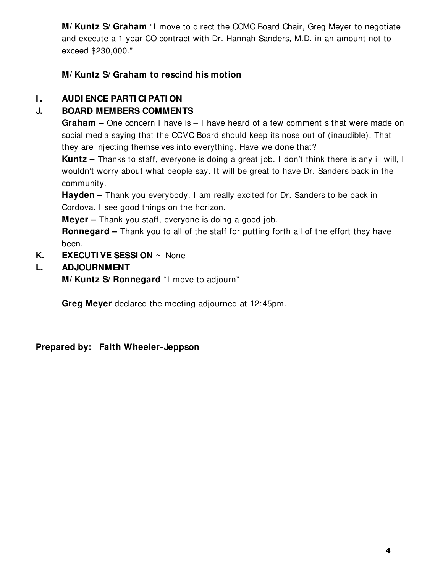**M/ Kuntz S/ Graham** "I move to direct the CCMC Board Chair, Greg Meyer to negotiate and execute a 1 year CO contract with Dr. Hannah Sanders, M.D. in an amount not to exceed \$230,000."

**M/ Kuntz S/ Graham to rescind his motion** 

## **I . AUDI ENCE PARTI CI PATI ON**

## **J. BOARD MEMBERS COMMENTS**

**Graham –** One concern I have is – I have heard of a few comment s that were made on social media saying that the CCMC Board should keep its nose out of (inaudible). That they are injecting themselves into everything. Have we done that?

**Kuntz –** Thanks to staff, everyone is doing a great job. I don't think there is any ill will, I wouldn't worry about what people say. It will be great to have Dr. Sanders back in the community.

**Hayden –** Thank you everybody. I am really excited for Dr. Sanders to be back in Cordova. I see good things on the horizon.

**Meyer –** Thank you staff, everyone is doing a good job.

**Ronnegard –** Thank you to all of the staff for putting forth all of the effort they have been.

**K. EXECUTI VE SESSI ON ~** None

## **L. ADJOURNMENT**

**M/ Kuntz S/ Ronnegard** "I move to adjourn"

**Greg Meyer** declared the meeting adjourned at 12:45pm.

**Prepared by: Faith Wheeler-Jeppson**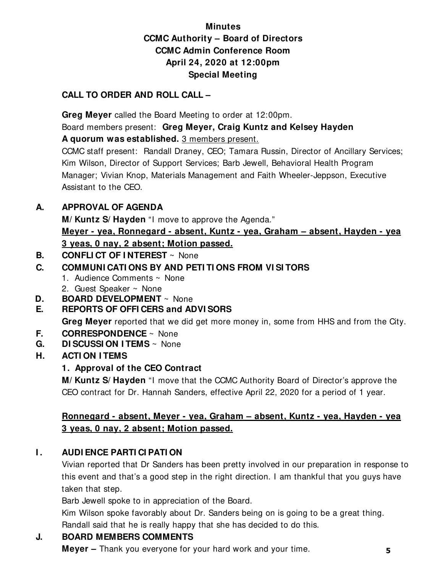## **Minutes CCMC Authority – Board of Directors CCMC Admin Conference Room April 24, 2020 at 12:00pm Special Meeting**

## **CALL TO ORDER AND ROLL CALL –**

 **Greg Meyer** called the Board Meeting to order at 12:00pm. Board members present: **Greg Meyer, Craig Kuntz and Kelsey Hayden A quorum was established.** 3 members present.

CCMC staff present: Randall Draney, CEO; Tamara Russin, Director of Ancillary Services; Kim Wilson, Director of Support Services; Barb Jewell, Behavioral Health Program Manager; Vivian Knop, Materials Management and Faith Wheeler-Jeppson, Executive Assistant to the CEO.

## **A. APPROVAL OF AGENDA**

**M/ Kuntz S/ Hayden** "I move to approve the Agenda."

**Meyer - yea, Ronnegard - absent, Kuntz - yea, Graham – absent, Hayden - yea 3 yeas, 0 nay, 2 absent; Motion passed.** 

**B. CONFLI CT OF I NTEREST** ~ None

## **C. COMMUNI CATI ONS BY AND PETI TI ONS FROM VI SI TORS**

- 1. Audience Comments ~ None
- 2. Guest Speaker ~ None
- **D. BOARD DEVELOPMENT** ~ None

## **E. REPORTS OF OFFI CERS and ADVI SORS**

**Greg Meyer** reported that we did get more money in, some from HHS and from the City.

- **F. CORRESPONDENCE** ~ None
- **G. DI SCUSSI ON I TEMS** ~ None
- **H. ACTI ON I TEMS**

## **1. Approval of the CEO Contract**

**M/ Kuntz S/ Hayden** "I move that the CCMC Authority Board of Director's approve the CEO contract for Dr. Hannah Sanders, effective April 22, 2020 for a period of 1 year.

## **Ronnegard - absent, Meyer - yea, Graham – absent, Kuntz - yea, Hayden - yea 3 yeas, 0 nay, 2 absent; Motion passed.**

## **I. AUDIENCE PARTICI PATION**

Vivian reported that Dr Sanders has been pretty involved in our preparation in response to this event and that's a good step in the right direction. I am thankful that you guys have taken that step.

Barb Jewell spoke to in appreciation of the Board.

Kim Wilson spoke favorably about Dr. Sanders being on is going to be a great thing.

Randall said that he is really happy that she has decided to do this.

## **J. BOARD MEMBERS COMMENTS**

 **Meyer –** Thank you everyone for your hard work and your time. **5**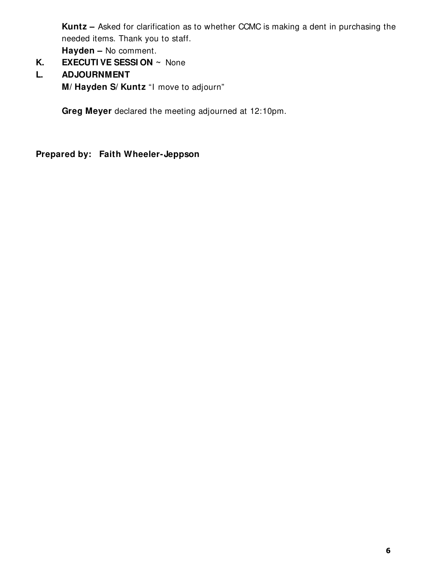**Kuntz –** Asked for clarification as to whether CCMC is making a dent in purchasing the needed items. Thank you to staff. **Hayden –** No comment.

- **K. EXECUTI VE SESSI ON ~** None
- **L. ADJOURNMENT M/ Hayden S/ Kuntz** "I move to adjourn"

**Greg Meyer** declared the meeting adjourned at 12:10pm.

**Prepared by: Faith Wheeler-Jeppson**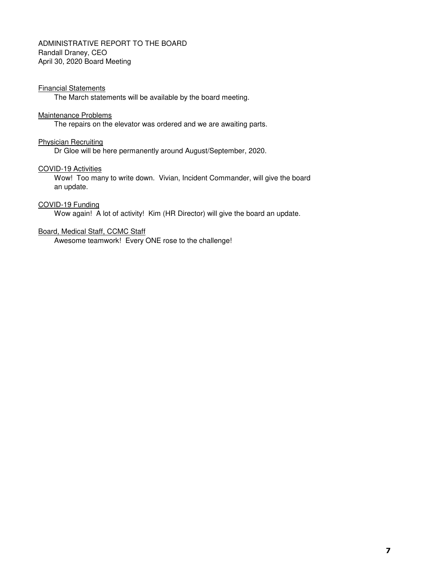#### ADMINISTRATIVE REPORT TO THE BOARD Randall Draney, CEO April 30, 2020 Board Meeting

#### Financial Statements

The March statements will be available by the board meeting.

#### Maintenance Problems

The repairs on the elevator was ordered and we are awaiting parts.

#### Physician Recruiting

Dr Gloe will be here permanently around August/September, 2020.

#### COVID-19 Activities

Wow! Too many to write down. Vivian, Incident Commander, will give the board an update.

#### COVID-19 Funding

Wow again! A lot of activity! Kim (HR Director) will give the board an update.

#### Board, Medical Staff, CCMC Staff

Awesome teamwork! Every ONE rose to the challenge!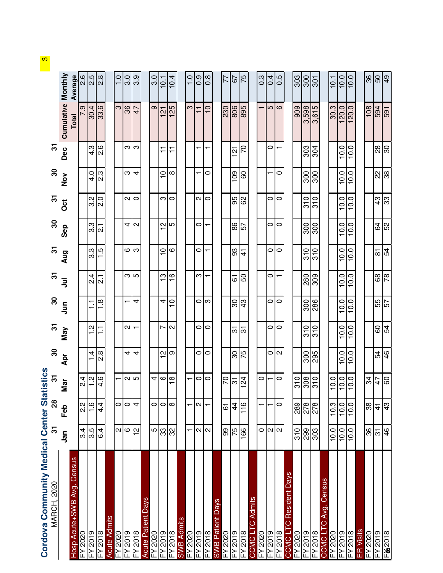| İ<br>l<br>ï                   |
|-------------------------------|
| È<br>F                        |
| ı                             |
| $\overline{\phantom{a}}$<br>j |
| i                             |

|                                         |                           |                      |                                            |                   | $\overline{5}$                 | $\boldsymbol{S}$              | $\mathbf{r}$             | $\overline{5}$                 | $\boldsymbol{S}$         | $\overline{5}$      | $\boldsymbol{S}$ | $\overline{\mathfrak{S}}$ |                          |                         |
|-----------------------------------------|---------------------------|----------------------|--------------------------------------------|-------------------|--------------------------------|-------------------------------|--------------------------|--------------------------------|--------------------------|---------------------|------------------|---------------------------|--------------------------|-------------------------|
|                                         | ឹម                        | Feb                  | ⋟<br>Σã                                    | $\frac{30}{4}$    | May                            | <b>Syd</b>                    | $\bar{5}$                | Aug                            | Sep                      | $\ddot{\mathrm{c}}$ | $\frac{5}{2}$    | Dec                       | Cumulative Monthly       |                         |
| Census<br>losp Acute+SWB Avg.           |                           |                      |                                            |                   |                                |                               |                          |                                |                          |                     |                  |                           | <b>Total</b>             | Average                 |
| -Y 2020                                 | 3.4                       | 23                   | 4<br>N                                     |                   |                                |                               |                          |                                |                          |                     |                  |                           | တ                        |                         |
| 6102.                                   | $\overline{3.5}$          | $\frac{9}{1}$        | $ a $ ب                                    | $\frac{1}{4}$     | Ņ                              | Ξ.                            | य<br>२                   | 3.3                            | $3.\overline{3}$         | $\frac{2}{3}$       | 4.0              | $4.\overline{3}$          |                          | $\frac{1}{2}$           |
| 8102.<br>≧                              | 6.4                       | $\overline{4}$<br>4. | 4                                          | 8.5               | ⊤.<br>$\overline{\phantom{0}}$ | œ<br>$\overline{\phantom{0}}$ | $\overline{c}$           | ဟ္<br>$\overline{\phantom{0}}$ | $\overline{c}$           |                     | 2.3              | $-2.6$                    | $\frac{30.4}{33.6}$      |                         |
| <b>Acute Admits</b>                     |                           |                      |                                            |                   |                                |                               |                          |                                |                          |                     |                  |                           |                          |                         |
| $-Y$ 2020                               | $\sim$                    | $\circ$              | ↽                                          |                   |                                |                               |                          |                                |                          |                     |                  |                           | က                        | $\frac{0}{1}$           |
| 6102.                                   | $\mathbf \omega$          | $\circ$              |                                            | 4                 | N                              |                               |                          | 6                              | 4                        | И                   | ω                | ო                         | 36                       |                         |
| 8102.                                   | $\sim$                    | $\overline{ }$       | $\alpha$  ഗ                                | 4                 |                                | 4                             | ന∣ഗ                      | က                              | $\sim$                   | 0                   | 4                | က                         | 47                       | <b>ာ</b> ကြ             |
| <b>Acute Patient Days</b>               |                           |                      |                                            |                   |                                |                               |                          |                                |                          |                     |                  |                           |                          |                         |
|                                         | 5                         | $\circ$              |                                            |                   |                                |                               |                          |                                |                          |                     |                  |                           | თ                        | 3.0                     |
|                                         |                           |                      | ক ত ∞                                      | 으                 | r                              | 4                             | င္                       | $\frac{1}{2}$                  | N                        | ო                   | $\frac{1}{1}$    | ∓                         | <u>is</u>                | $\overline{\mathsf{Q}}$ |
| EY 2018<br>FY 2019<br>FY 2018           | <u>ကြွသ</u>               | ం∣∞                  |                                            | တ                 | $\mathbf{\Omega}$              | $\subseteq$                   | $\frac{6}{1}$            | ဖ                              | ∣ഥ                       | 0                   | ∞                | F                         | 25                       | 10.4                    |
| LS<br>SWB Adm                           |                           |                      |                                            |                   |                                |                               |                          |                                |                          |                     |                  |                           |                          |                         |
| 0202 A <sub>=</sub>                     |                           |                      | $\overline{\phantom{0}}$                   |                   |                                |                               |                          |                                |                          |                     |                  |                           | က                        | $\frac{0}{1}$           |
| FY 2019<br>FY 2018                      | $\sim$ $\sim$             | $\sim$               | $\circ$                                    | 0                 | 0                              | 0                             | ო                        | 0                              | 0                        | И                   |                  |                           | $\overline{1}$           | 0.9                     |
|                                         |                           |                      | $\circ$                                    | 0                 | $\circ$                        | က                             |                          |                                | ┯                        | $\circ$             | 0                |                           | $\frac{1}{2}$            | $0.\overline{8}$        |
| <b>SWB Patient Days</b>                 |                           |                      |                                            |                   |                                |                               |                          |                                |                          |                     |                  |                           |                          |                         |
| 5020 A                                  | 99                        | 6                    | 20                                         |                   |                                |                               |                          |                                |                          |                     |                  |                           | 230                      | 77                      |
| EY 2018<br>FY 2018                      | 57                        | $\overline{4}$       | $\overline{55}$                            | $rac{9}{16}$      | $\overline{5}$                 | $\overline{\mathrm{c}}$       | 5                        | <u> ္တု</u>                    | $\frac{5}{8}$            | $\frac{8}{8}$       | $\frac{8}{2}$    | <u>ন</u>                  | 806                      | 67                      |
|                                         | 166                       | $\frac{6}{1}$        | $\overline{5}$<br>$\overline{\phantom{0}}$ |                   | $\overline{5}$                 | $\frac{3}{4}$                 | SO                       |                                |                          |                     | 8                | 5                         | 895                      | 75                      |
| Aamits<br>ာ<br><b>COMO</b>              |                           |                      |                                            |                   |                                |                               |                          |                                |                          |                     |                  |                           |                          |                         |
| 0202                                    | $\circ$                   |                      | $\circ$                                    |                   |                                |                               |                          |                                |                          |                     |                  |                           | $\overline{\phantom{0}}$ | 0.3                     |
| 6102.                                   | $\sim$ $\sim$             |                      | $\overline{\phantom{0}}$                   | $\circ$           | $\circ$                        | $\circ$                       | $\circ$                  | $\circ$                        | $\circ$                  | 0                   |                  | 0                         | 5                        | 0.4                     |
| 2018                                    |                           | $\circ$              | $\circ$                                    | $\mathbf{\Omega}$ | $\circ$                        | $\circ$                       |                          | $\circ$                        | $\circ$                  | 0                   | 0                |                           | $\circ$                  | 0.5                     |
| Resident Days<br>ပ<br>COMO <sub>L</sub> |                           |                      |                                            |                   |                                |                               |                          |                                |                          |                     |                  |                           |                          |                         |
| FY 2020                                 | $\frac{1}{3}$             |                      |                                            |                   |                                |                               |                          |                                |                          |                     |                  |                           | 909                      | 303                     |
| 6102,                                   | 888                       | $\frac{1}{28}$       | $\frac{1}{2}$                              | $\frac{300}{295}$ | 310                            | 300                           | 280                      | 310                            | 300                      | 310                 | 300              | 303                       | 3,598                    | 300                     |
| $=$ Y 2018                              |                           |                      |                                            |                   | $\overline{310}$               | 286                           | 808                      | $\overline{310}$               | $\frac{8}{300}$          | $\overline{016}$    | $\frac{8}{300}$  | 304                       | 3,615                    | $\overline{301}$        |
| Avg. Census<br>ပ<br><b>JOMOC</b>        |                           |                      |                                            |                   |                                |                               |                          |                                |                          |                     |                  |                           |                          |                         |
| $-5020$                                 | 10.0                      | 10.3                 | $\circ$<br><u>ّب</u>                       |                   |                                |                               |                          |                                |                          |                     |                  |                           | 30.3                     | 10.1                    |
| 2019                                    | 0<br>$\dot{P}$            | 10.0                 | O <br>Ş                                    | 10.0              | 10.0                           | $\circ$<br>$\overline{O}$     | 10.0                     | 10.0                           | $\circ$<br>$\frac{1}{2}$ | 10.0                | 10.0             | 0<br>$\frac{1}{2}$        | 120.0                    | 10.0                    |
| <b>FY2018</b>                           | 10.0                      | 10.0                 | $\overline{a}$                             | 10.0              | 10.0                           | 10.0                          | 10.0                     | 10.0                           | 10.0                     | 10.0                | 10.0             | 10.0                      | 120.0                    | 10.0                    |
| <b>ER</b> Visits                        |                           |                      |                                            |                   |                                |                               |                          |                                |                          |                     |                  |                           |                          |                         |
| <b>EY 2020</b>                          | 86                        | 38                   | $rac{4}{2}$                                |                   |                                |                               |                          |                                |                          |                     |                  |                           | 108                      | $\frac{36}{50}$         |
| $=$ Y 2019                              | $\overline{\mathfrak{S}}$ | $\frac{1}{4}$        |                                            | 54                | 60                             | $\frac{25}{9}$                | 89                       | ᇮ                              | 54                       | $\frac{3}{4}$       | 2                | 28                        | 594                      |                         |
| F&2018                                  | 46                        | 43                   | <b>OC</b>                                  | $\frac{4}{6}$     | 54                             |                               | $\overline{\mathcal{E}}$ | $\frac{5}{4}$                  | 52                       | ကြွ                 | န္တ              | ခြ                        | 591                      | 6 <sup>b</sup>          |
|                                         |                           |                      |                                            |                   |                                |                               |                          |                                |                          |                     |                  |                           |                          |                         |

<mark>ຕ</mark>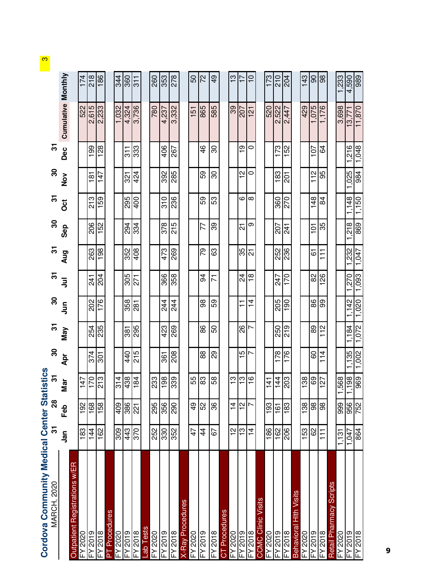Cordova Community Medical Center Statistics

| Cordova Community Medical Center Statistics<br>MARCH, 2020<br>MARCH, 2020                                                                                          |                |                     |                                 |                  |                  |                  |                         |                |                  |                |                |                    |                           |                 |
|--------------------------------------------------------------------------------------------------------------------------------------------------------------------|----------------|---------------------|---------------------------------|------------------|------------------|------------------|-------------------------|----------------|------------------|----------------|----------------|--------------------|---------------------------|-----------------|
| MARCH,                                                                                                                                                             |                |                     |                                 | $\boldsymbol{S}$ | $\overline{5}$   | $\boldsymbol{S}$ | $\overline{5}$          | $\overline{5}$ | $\boldsymbol{S}$ | $\overline{5}$ | ႙              | 5                  |                           |                 |
|                                                                                                                                                                    | <u>កិ</u>      | <b>Ba</b>           | Σã                              | Apr              | Nay              | S<br>Jun         | ミ                       | Aug            | Sep              | ö              | $\frac{8}{2}$  | Dec                | <b>Cumulative Monthly</b> |                 |
| Outpatient Registrations w/ER                                                                                                                                      |                |                     |                                 |                  |                  |                  |                         |                |                  |                |                |                    |                           |                 |
| FY 2020                                                                                                                                                            | 183            | 192                 | 147                             |                  |                  |                  |                         |                |                  |                |                |                    | 522                       | 174             |
| FY 2019                                                                                                                                                            | $\frac{44}{3}$ | 168                 | 5                               | 374              | 254              | 202              | 241                     | 263            | 206              | 213            | $\frac{1}{8}$  | $\frac{8}{2}$      | 2,615                     | 218             |
| FY 2018                                                                                                                                                            | 162            | 58                  | ო<br><u>년</u>                   | 301              | 235              | 176              | 204                     | 198            | 152              | 59             | 47             | 128                | 2,233                     | 186             |
| Procedures<br>$\overline{\mathsf{P}}$                                                                                                                              |                |                     |                                 |                  |                  |                  |                         |                |                  |                |                |                    |                           |                 |
| $FY$ 2020                                                                                                                                                          | 309            | 409                 |                                 |                  |                  |                  |                         |                |                  |                |                |                    | 1.032                     | 344             |
| $\frac{1002 \times 100}{\frac{1000 \times 1000}{\frac{1000 \times 1000}{\frac{10000}{\frac{10000}{\frac{10000}{\frac{10000}{\frac{10000}{\frac{10000{1000}}}}}}}}$ | 443            | $\frac{86}{221}$    | $rac{21}{180}$<br>$rac{12}{15}$ | 440              |                  | 358              | 305                     | 352            |                  | 295            | $\overline{3}$ | $\frac{1}{\infty}$ | $\frac{4,324}{3,736}$     | 360             |
|                                                                                                                                                                    |                |                     |                                 | 215              | $\frac{25}{295}$ | 281              | 271                     | 408            | $\frac{294}{33}$ | 400            | 424            | 333                |                           | 311             |
| Lab Tests                                                                                                                                                          |                |                     |                                 |                  |                  |                  |                         |                |                  |                |                |                    |                           |                 |
| FY 2020                                                                                                                                                            | 252            | 295                 | 233                             |                  |                  |                  |                         |                |                  |                |                |                    | 780                       | 260             |
| FY 2019                                                                                                                                                            | 330            | 356                 | 198                             | 361              | 423              | 244              | 366                     | 473            | 378              | 310            | 392            | 406                | 4,237                     | 353             |
| FY 2018                                                                                                                                                            | 352            | 290                 | 339                             | 208              | 269              | 244              | 358                     | 269            | 215              | 236            | 285            | 267                | 3,332                     | 278             |
| X-Ray Procedures                                                                                                                                                   |                |                     |                                 |                  |                  |                  |                         |                |                  |                |                |                    |                           |                 |
| FY 2020                                                                                                                                                            | 47             | $\frac{6}{4}$       | ပ္ပ                             |                  |                  |                  |                         |                |                  |                |                |                    | 151                       | 50              |
| FY 2019                                                                                                                                                            | $\frac{4}{4}$  | 52                  | က္က                             | 88               | 86               | 88               | र्द                     | గ్ర            | 77               | 59             | တွ             | 46                 | 865                       | 22              |
| FY 2018                                                                                                                                                            | 57             | 86                  | 58                              | 89               | 50               | 59               | 7                       | යි             | တွ               | 53             | ౚ              | ౚ                  | 585                       | $\frac{1}{6}$   |
| CT Procedures                                                                                                                                                      |                |                     |                                 |                  |                  |                  |                         |                |                  |                |                |                    |                           |                 |
| FY 2020                                                                                                                                                            | 으              | $\overline{4}$      |                                 |                  |                  |                  |                         |                |                  |                |                |                    | 39                        | $\frac{3}{2}$   |
| FY 2019                                                                                                                                                            | က္             | $\boldsymbol{\sim}$ | က က                             | Ю                | 88               | $\overline{1}$   | $\overline{24}$         | 35             | <u>인</u>         | 6              | 으              | စ္                 | <b>Z07</b>                | $\overline{17}$ |
| FY 2018                                                                                                                                                            | $\frac{1}{4}$  | $\overline{ }$      | G                               | ↖                | r                | $\frac{4}{1}$    | $\frac{\infty}{\infty}$ | <u>인</u>       | თ                | $\infty$       | 0              | 0                  | $\frac{1}{2}$             | $\frac{0}{1}$   |
| <b>ISIIS</b><br><u>o</u><br><b>CCMC CI</b>                                                                                                                         |                |                     |                                 |                  |                  |                  |                         |                |                  |                |                |                    |                           |                 |
| FY 2020                                                                                                                                                            | 186            | 193                 | $\frac{1}{4}$                   |                  |                  |                  |                         |                |                  |                |                |                    | 520                       | 173             |
| FY 2019                                                                                                                                                            | 162            | 161                 | 144                             | 178              | 250              | 205              | 247                     | 252<br>236     | 207              | 360            | 183            | 173                | 2,522                     | 210             |
| FY 2018                                                                                                                                                            | 206            | <b>183</b>          | ါ္က<br>ಗ                        | 176              | 219              | $\frac{8}{1}$    | 170                     |                | $\overline{4}$   | 270            | 201            | 152                | 2,447                     | 204             |
| Visits<br>i<br>H<br><b>Behaviora</b>                                                                                                                               |                |                     |                                 |                  |                  |                  |                         |                |                  |                |                |                    |                           |                 |
| <b>FY 2020</b>                                                                                                                                                     | 153            | 38                  | 38                              |                  |                  |                  |                         |                |                  |                |                |                    | 429                       | 143             |
| FY 2019                                                                                                                                                            | 29             | 8                   | တ္တ                             | 8                | 89               | 88               | 59                      | 6              | $\overline{5}$   | $\frac{48}{1}$ | 112            | 107                | 1,075                     | ဓ               |
| FY 2018                                                                                                                                                            | $\overline{1}$ | 86                  | 127                             | 114              | $\frac{2}{11}$   | ဓွ               | 126                     | Ξ              | 35               | 84             | 99             | S,                 | 1,176                     | 86              |
| Retail Pharmacy Scripts                                                                                                                                            |                |                     |                                 |                  |                  |                  |                         |                |                  |                |                |                    |                           |                 |
| FY 2020                                                                                                                                                            | 1,131          | 999                 | 1,568                           |                  |                  |                  |                         |                |                  |                |                |                    | 3,698                     | 1,233           |
| 810Z A∃<br>610Z A∃                                                                                                                                                 | 1,047          | 956<br>752          | $\frac{1,198}{969}$             | 1,135            | 1,184            | 1,142            | 1,270                   | 1,232          | 1,218            | 1,148          | 1,025          | 1,216              | 13,771                    | 4,590           |
|                                                                                                                                                                    | 864            |                     |                                 | 1,002            | 1,072            | 1,020            | 1,093                   | 1,047          | 869              | 1,150          | 984            | 1,048              | 11,870                    | 989             |

<mark>ຕ</mark><br>|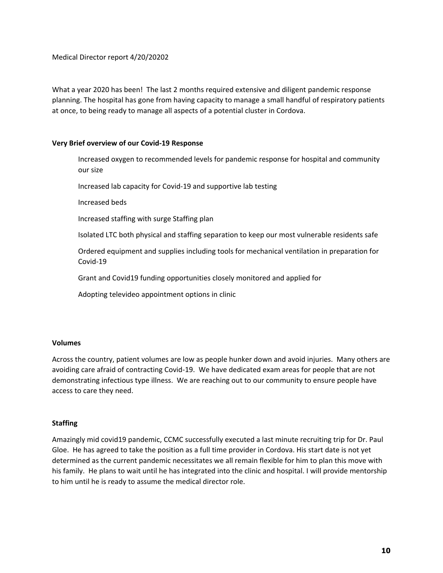Medical Director report 4/20/20202

What a year 2020 has been! The last 2 months required extensive and diligent pandemic response planning. The hospital has gone from having capacity to manage a small handful of respiratory patients at once, to being ready to manage all aspects of a potential cluster in Cordova.

#### **Very Brief overview of our Covid‐19 Response**

Increased oxygen to recommended levels for pandemic response for hospital and community our size

Increased lab capacity for Covid‐19 and supportive lab testing

Increased beds

Increased staffing with surge Staffing plan

Isolated LTC both physical and staffing separation to keep our most vulnerable residents safe

Ordered equipment and supplies including tools for mechanical ventilation in preparation for Covid‐19

Grant and Covid19 funding opportunities closely monitored and applied for

Adopting televideo appointment options in clinic

#### **Volumes**

Across the country, patient volumes are low as people hunker down and avoid injuries. Many others are avoiding care afraid of contracting Covid‐19. We have dedicated exam areas for people that are not demonstrating infectious type illness. We are reaching out to our community to ensure people have access to care they need.

#### **Staffing**

Amazingly mid covid19 pandemic, CCMC successfully executed a last minute recruiting trip for Dr. Paul Gloe. He has agreed to take the position as a full time provider in Cordova. His start date is not yet determined as the current pandemic necessitates we all remain flexible for him to plan this move with his family. He plans to wait until he has integrated into the clinic and hospital. I will provide mentorship to him until he is ready to assume the medical director role.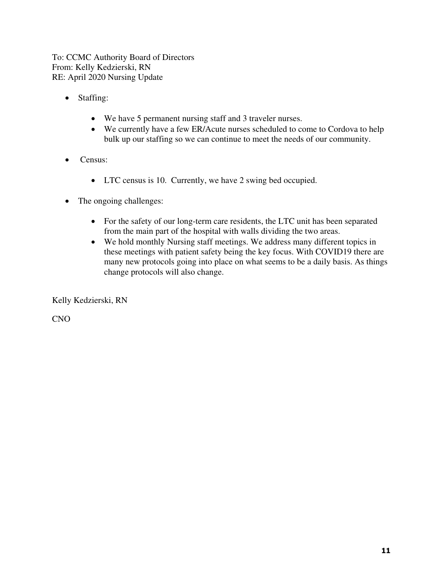To: CCMC Authority Board of Directors From: Kelly Kedzierski, RN RE: April 2020 Nursing Update

- Staffing:
	- We have 5 permanent nursing staff and 3 traveler nurses.
	- We currently have a few ER/Acute nurses scheduled to come to Cordova to help bulk up our staffing so we can continue to meet the needs of our community.
- Census:
	- LTC census is 10. Currently, we have 2 swing bed occupied.
- The ongoing challenges:
	- For the safety of our long-term care residents, the LTC unit has been separated from the main part of the hospital with walls dividing the two areas.
	- We hold monthly Nursing staff meetings. We address many different topics in these meetings with patient safety being the key focus. With COVID19 there are many new protocols going into place on what seems to be a daily basis. As things change protocols will also change.

Kelly Kedzierski, RN

CNO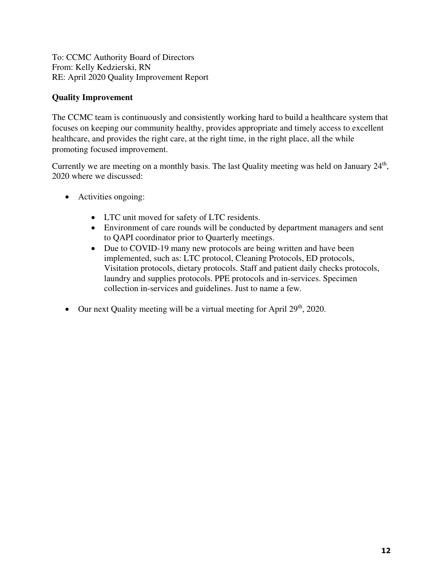To: CCMC Authority Board of Directors From: Kelly Kedzierski, RN RE: April 2020 Quality Improvement Report

### **Quality Improvement**

The CCMC team is continuously and consistently working hard to build a healthcare system that focuses on keeping our community healthy, provides appropriate and timely access to excellent healthcare, and provides the right care, at the right time, in the right place, all the while promoting focused improvement.

Currently we are meeting on a monthly basis. The last Quality meeting was held on January  $24<sup>th</sup>$ , 2020 where we discussed:

- Activities ongoing:
	- LTC unit moved for safety of LTC residents.
	- Environment of care rounds will be conducted by department managers and sent to QAPI coordinator prior to Quarterly meetings.
	- Due to COVID-19 many new protocols are being written and have been implemented, such as: LTC protocol, Cleaning Protocols, ED protocols, Visitation protocols, dietary protocols. Staff and patient daily checks protocols, laundry and supplies protocols. PPE protocols and in-services. Specimen collection in-services and guidelines. Just to name a few.
- $\bullet$  Our next Quality meeting will be a virtual meeting for April 29<sup>th</sup>, 2020.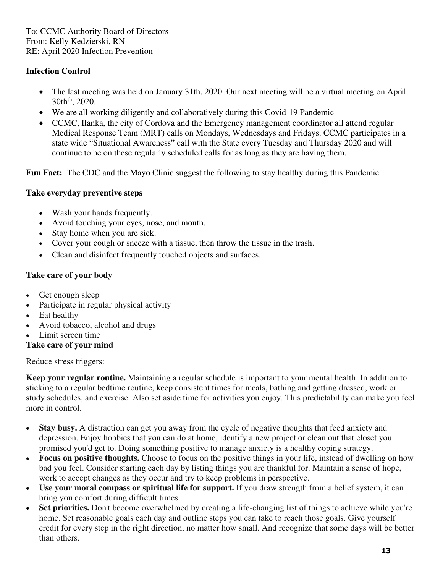To: CCMC Authority Board of Directors From: Kelly Kedzierski, RN RE: April 2020 Infection Prevention

### **Infection Control**

- The last meeting was held on January 31th, 2020. Our next meeting will be a virtual meeting on April  $30th^{th}$ , 2020.
- We are all working diligently and collaboratively during this Covid-19 Pandemic
- CCMC, Ilanka, the city of Cordova and the Emergency management coordinator all attend regular Medical Response Team (MRT) calls on Mondays, Wednesdays and Fridays. CCMC participates in a state wide "Situational Awareness" call with the State every Tuesday and Thursday 2020 and will continue to be on these regularly scheduled calls for as long as they are having them.

**Fun Fact:** The CDC and the Mayo Clinic suggest the following to stay healthy during this Pandemic

### **Take everyday preventive steps**

- Wash your hands frequently.
- Avoid touching your eyes, nose, and mouth.
- Stay home when you are sick.
- Cover your cough or sneeze with a tissue, then throw the tissue in the trash.
- Clean and disinfect frequently touched objects and surfaces.

### **Take care of your body**

- Get enough sleep
- Participate in regular physical activity
- Eat healthy
- Avoid tobacco, alcohol and drugs
- Limit screen time

### **Take care of your mind**

Reduce stress triggers:

**Keep your regular routine.** Maintaining a regular schedule is important to your mental health. In addition to sticking to a regular bedtime routine, keep consistent times for meals, bathing and getting dressed, work or study schedules, and exercise. Also set aside time for activities you enjoy. This predictability can make you feel more in control.

- **Stay busy.** A distraction can get you away from the cycle of negative thoughts that feed anxiety and depression. Enjoy hobbies that you can do at home, identify a new project or clean out that closet you promised you'd get to. Doing something positive to manage anxiety is a healthy coping strategy.
- **Focus on positive thoughts.** Choose to focus on the positive things in your life, instead of dwelling on how bad you feel. Consider starting each day by listing things you are thankful for. Maintain a sense of hope, work to accept changes as they occur and try to keep problems in perspective.
- **Use your moral compass or spiritual life for support.** If you draw strength from a belief system, it can bring you comfort during difficult times.
- **Set priorities.** Don't become overwhelmed by creating a life-changing list of things to achieve while you're home. Set reasonable goals each day and outline steps you can take to reach those goals. Give yourself credit for every step in the right direction, no matter how small. And recognize that some days will be better than others.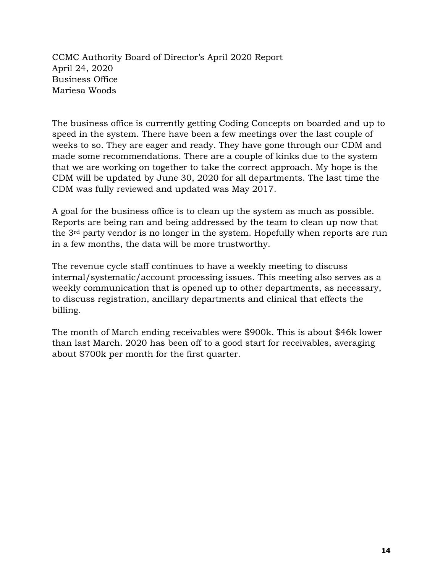CCMC Authority Board of Director's April 2020 Report April 24, 2020 Business Office Mariesa Woods

The business office is currently getting Coding Concepts on boarded and up to speed in the system. There have been a few meetings over the last couple of weeks to so. They are eager and ready. They have gone through our CDM and made some recommendations. There are a couple of kinks due to the system that we are working on together to take the correct approach. My hope is the CDM will be updated by June 30, 2020 for all departments. The last time the CDM was fully reviewed and updated was May 2017.

A goal for the business office is to clean up the system as much as possible. Reports are being ran and being addressed by the team to clean up now that the 3rd party vendor is no longer in the system. Hopefully when reports are run in a few months, the data will be more trustworthy.

The revenue cycle staff continues to have a weekly meeting to discuss internal/systematic/account processing issues. This meeting also serves as a weekly communication that is opened up to other departments, as necessary, to discuss registration, ancillary departments and clinical that effects the billing.

The month of March ending receivables were \$900k. This is about \$46k lower than last March. 2020 has been off to a good start for receivables, averaging about \$700k per month for the first quarter.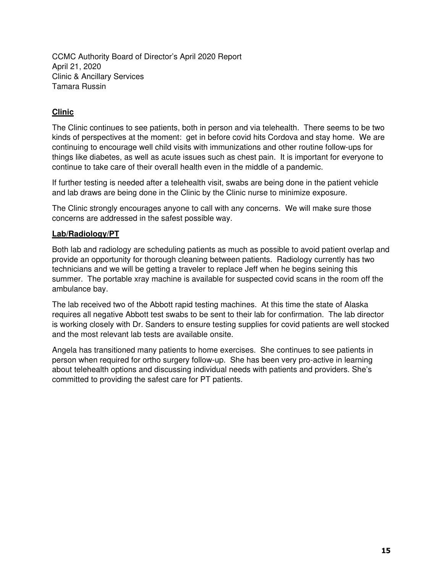CCMC Authority Board of Director's April 2020 Report April 21, 2020 Clinic & Ancillary Services Tamara Russin

### **Clinic**

The Clinic continues to see patients, both in person and via telehealth. There seems to be two kinds of perspectives at the moment: get in before covid hits Cordova and stay home. We are continuing to encourage well child visits with immunizations and other routine follow-ups for things like diabetes, as well as acute issues such as chest pain. It is important for everyone to continue to take care of their overall health even in the middle of a pandemic.

If further testing is needed after a telehealth visit, swabs are being done in the patient vehicle and lab draws are being done in the Clinic by the Clinic nurse to minimize exposure.

The Clinic strongly encourages anyone to call with any concerns. We will make sure those concerns are addressed in the safest possible way.

#### **Lab/Radiology/PT**

Both lab and radiology are scheduling patients as much as possible to avoid patient overlap and provide an opportunity for thorough cleaning between patients. Radiology currently has two technicians and we will be getting a traveler to replace Jeff when he begins seining this summer. The portable xray machine is available for suspected covid scans in the room off the ambulance bay.

The lab received two of the Abbott rapid testing machines. At this time the state of Alaska requires all negative Abbott test swabs to be sent to their lab for confirmation. The lab director is working closely with Dr. Sanders to ensure testing supplies for covid patients are well stocked and the most relevant lab tests are available onsite.

Angela has transitioned many patients to home exercises. She continues to see patients in person when required for ortho surgery follow-up. She has been very pro-active in learning about telehealth options and discussing individual needs with patients and providers. She's committed to providing the safest care for PT patients.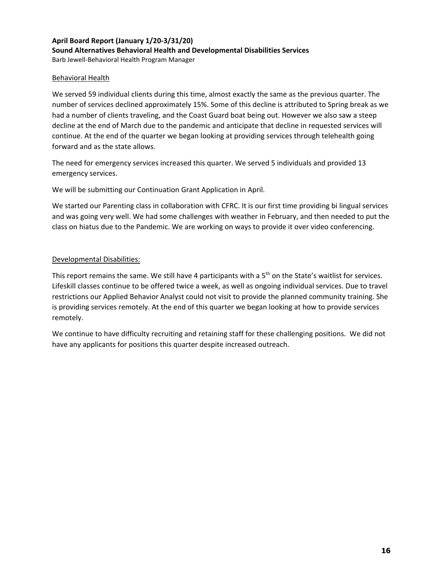#### **April Board Report (January 1/20‐3/31/20) Sound Alternatives Behavioral Health and Developmental Disabilities Services** Barb Jewell‐Behavioral Health Program Manager

#### Behavioral Health

We served 59 individual clients during this time, almost exactly the same as the previous quarter. The number of services declined approximately 15%. Some of this decline is attributed to Spring break as we had a number of clients traveling, and the Coast Guard boat being out. However we also saw a steep decline at the end of March due to the pandemic and anticipate that decline in requested services will continue. At the end of the quarter we began looking at providing services through telehealth going forward and as the state allows.

The need for emergency services increased this quarter. We served 5 individuals and provided 13 emergency services.

We will be submitting our Continuation Grant Application in April.

We started our Parenting class in collaboration with CFRC. It is our first time providing bi lingual services and was going very well. We had some challenges with weather in February, and then needed to put the class on hiatus due to the Pandemic. We are working on ways to provide it over video conferencing.

#### Developmental Disabilities:

This report remains the same. We still have 4 participants with a 5<sup>th</sup> on the State's waitlist for services. Lifeskill classes continue to be offered twice a week, as well as ongoing individual services. Due to travel restrictions our Applied Behavior Analyst could not visit to provide the planned community training. She is providing services remotely. At the end of this quarter we began looking at how to provide services remotely.

We continue to have difficulty recruiting and retaining staff for these challenging positions. We did not have any applicants for positions this quarter despite increased outreach.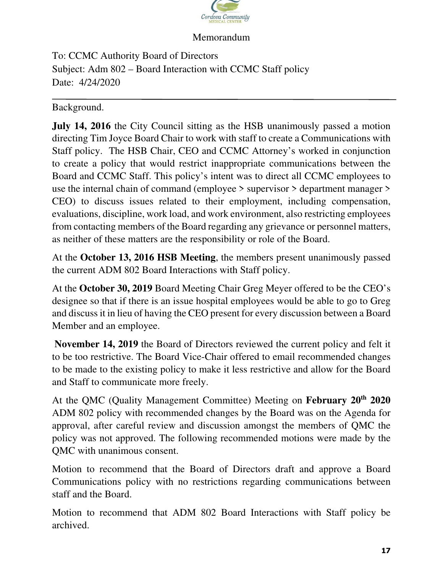

To: CCMC Authority Board of Directors Subject: Adm 802 – Board Interaction with CCMC Staff policy Date: 4/24/2020

Background.

**July 14, 2016** the City Council sitting as the HSB unanimously passed a motion directing Tim Joyce Board Chair to work with staff to create a Communications with Staff policy. The HSB Chair, CEO and CCMC Attorney's worked in conjunction to create a policy that would restrict inappropriate communications between the Board and CCMC Staff. This policy's intent was to direct all CCMC employees to use the internal chain of command (employee > supervisor > department manager > CEO) to discuss issues related to their employment, including compensation, evaluations, discipline, work load, and work environment, also restricting employees from contacting members of the Board regarding any grievance or personnel matters, as neither of these matters are the responsibility or role of the Board.

At the **October 13, 2016 HSB Meeting**, the members present unanimously passed the current ADM 802 Board Interactions with Staff policy.

At the **October 30, 2019** Board Meeting Chair Greg Meyer offered to be the CEO's designee so that if there is an issue hospital employees would be able to go to Greg and discuss it in lieu of having the CEO present for every discussion between a Board Member and an employee.

**November 14, 2019** the Board of Directors reviewed the current policy and felt it to be too restrictive. The Board Vice-Chair offered to email recommended changes to be made to the existing policy to make it less restrictive and allow for the Board and Staff to communicate more freely.

At the QMC (Quality Management Committee) Meeting on **February 20th 2020**  ADM 802 policy with recommended changes by the Board was on the Agenda for approval, after careful review and discussion amongst the members of QMC the policy was not approved. The following recommended motions were made by the QMC with unanimous consent.

Motion to recommend that the Board of Directors draft and approve a Board Communications policy with no restrictions regarding communications between staff and the Board.

Motion to recommend that ADM 802 Board Interactions with Staff policy be archived.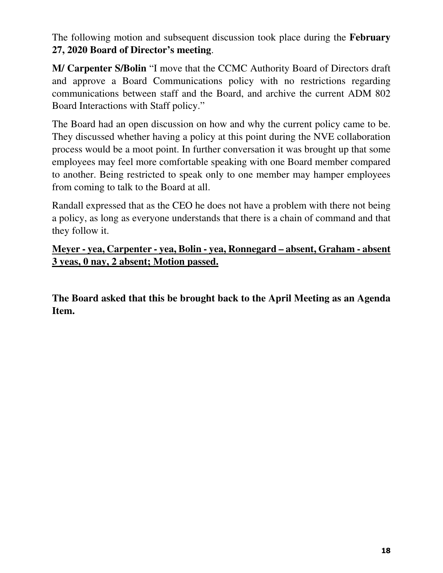The following motion and subsequent discussion took place during the **February 27, 2020 Board of Director's meeting**.

**M/ Carpenter S/Bolin** "I move that the CCMC Authority Board of Directors draft and approve a Board Communications policy with no restrictions regarding communications between staff and the Board, and archive the current ADM 802 Board Interactions with Staff policy."

The Board had an open discussion on how and why the current policy came to be. They discussed whether having a policy at this point during the NVE collaboration process would be a moot point. In further conversation it was brought up that some employees may feel more comfortable speaking with one Board member compared to another. Being restricted to speak only to one member may hamper employees from coming to talk to the Board at all.

Randall expressed that as the CEO he does not have a problem with there not being a policy, as long as everyone understands that there is a chain of command and that they follow it.

## **Meyer - yea, Carpenter - yea, Bolin - yea, Ronnegard – absent, Graham - absent 3 yeas, 0 nay, 2 absent; Motion passed.**

**The Board asked that this be brought back to the April Meeting as an Agenda Item.**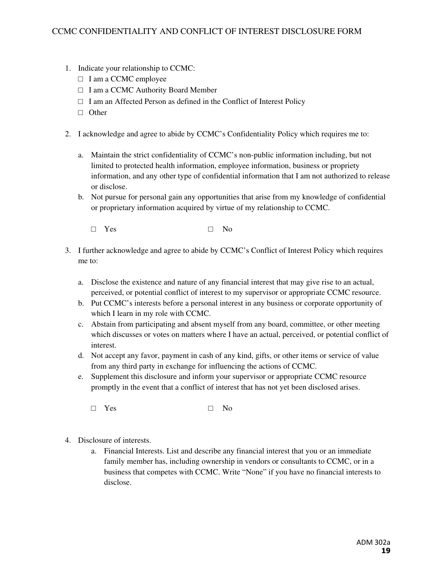- 1. Indicate your relationship to CCMC:
	- □ I am a CCMC employee
	- □ I am a CCMC Authority Board Member
	- $\Box$  I am an Affected Person as defined in the Conflict of Interest Policy
	- □ Other
- 2. I acknowledge and agree to abide by CCMC's Confidentiality Policy which requires me to:
	- a. Maintain the strict confidentiality of CCMC's non-public information including, but not limited to protected health information, employee information, business or propriety information, and any other type of confidential information that I am not authorized to release or disclose.
	- b. Not pursue for personal gain any opportunities that arise from my knowledge of confidential or proprietary information acquired by virtue of my relationship to CCMC.
		- □ Yes □ No
- 3. I further acknowledge and agree to abide by CCMC's Conflict of Interest Policy which requires me to:
	- a. Disclose the existence and nature of any financial interest that may give rise to an actual, perceived, or potential conflict of interest to my supervisor or appropriate CCMC resource.
	- b. Put CCMC's interests before a personal interest in any business or corporate opportunity of which I learn in my role with CCMC.
	- c. Abstain from participating and absent myself from any board, committee, or other meeting which discusses or votes on matters where I have an actual, perceived, or potential conflict of interest.
	- d. Not accept any favor, payment in cash of any kind, gifts, or other items or service of value from any third party in exchange for influencing the actions of CCMC.
	- e. Supplement this disclosure and inform your supervisor or appropriate CCMC resource promptly in the event that a conflict of interest that has not yet been disclosed arises.

 $\square$  Yes  $\square$  No

- 4. Disclosure of interests.
	- a. Financial Interests. List and describe any financial interest that you or an immediate family member has, including ownership in vendors or consultants to CCMC, or in a business that competes with CCMC. Write "None" if you have no financial interests to disclose.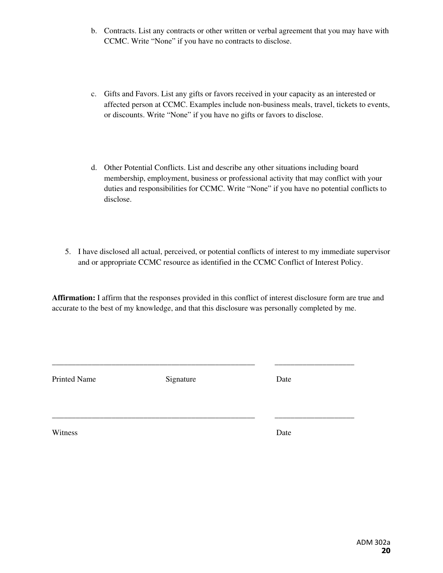- b. Contracts. List any contracts or other written or verbal agreement that you may have with CCMC. Write "None" if you have no contracts to disclose.
- c. Gifts and Favors. List any gifts or favors received in your capacity as an interested or affected person at CCMC. Examples include non-business meals, travel, tickets to events, or discounts. Write "None" if you have no gifts or favors to disclose.
- d. Other Potential Conflicts. List and describe any other situations including board membership, employment, business or professional activity that may conflict with your duties and responsibilities for CCMC. Write "None" if you have no potential conflicts to disclose.
- 5. I have disclosed all actual, perceived, or potential conflicts of interest to my immediate supervisor and or appropriate CCMC resource as identified in the CCMC Conflict of Interest Policy.

**Affirmation:** I affirm that the responses provided in this conflict of interest disclosure form are true and accurate to the best of my knowledge, and that this disclosure was personally completed by me.

Printed Name Signature Date

\_\_\_\_\_\_\_\_\_\_\_\_\_\_\_\_\_\_\_\_\_\_\_\_\_\_\_\_\_\_\_\_\_\_\_\_\_\_\_\_\_\_\_\_\_\_\_\_\_\_\_ \_\_\_\_\_\_\_\_\_\_\_\_\_\_\_\_\_\_\_\_

\_\_\_\_\_\_\_\_\_\_\_\_\_\_\_\_\_\_\_\_\_\_\_\_\_\_\_\_\_\_\_\_\_\_\_\_\_\_\_\_\_\_\_\_\_\_\_\_\_\_\_ \_\_\_\_\_\_\_\_\_\_\_\_\_\_\_\_\_\_\_\_

Witness Date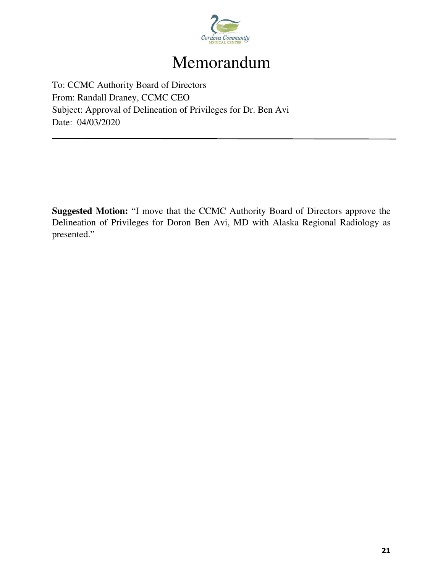

To: CCMC Authority Board of Directors From: Randall Draney, CCMC CEO Subject: Approval of Delineation of Privileges for Dr. Ben Avi Date: 04/03/2020

**Suggested Motion:** "I move that the CCMC Authority Board of Directors approve the Delineation of Privileges for Doron Ben Avi, MD with Alaska Regional Radiology as presented."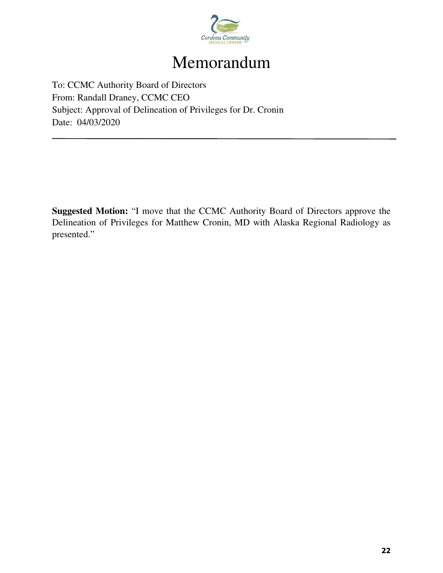

To: CCMC Authority Board of Directors From: Randall Draney, CCMC CEO Subject: Approval of Delineation of Privileges for Dr. Cronin Date: 04/03/2020

**Suggested Motion:** "I move that the CCMC Authority Board of Directors approve the Delineation of Privileges for Matthew Cronin, MD with Alaska Regional Radiology as presented."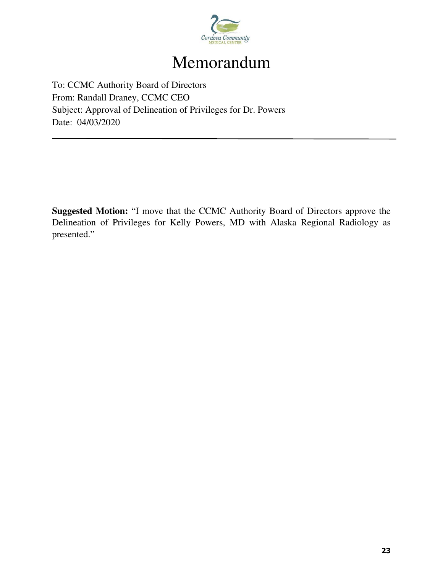

To: CCMC Authority Board of Directors From: Randall Draney, CCMC CEO Subject: Approval of Delineation of Privileges for Dr. Powers Date: 04/03/2020

**Suggested Motion:** "I move that the CCMC Authority Board of Directors approve the Delineation of Privileges for Kelly Powers, MD with Alaska Regional Radiology as presented."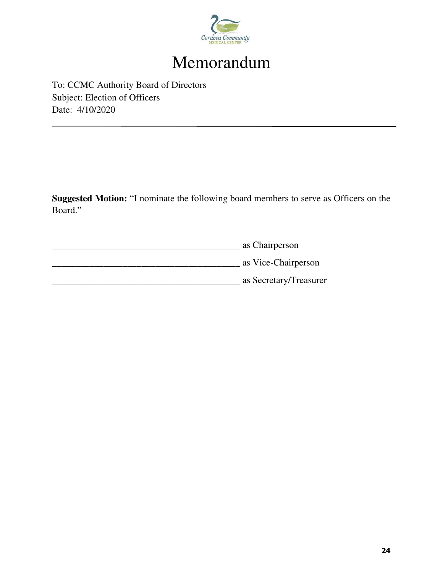

To: CCMC Authority Board of Directors Subject: Election of Officers Date: 4/10/2020

**Suggested Motion:** "I nominate the following board members to serve as Officers on the Board."

\_\_\_\_\_\_\_\_\_\_\_\_\_\_\_\_\_\_\_\_\_\_\_\_\_\_\_\_\_\_\_\_\_\_\_\_\_\_\_\_ as Chairperson \_\_\_\_\_\_\_\_\_\_\_\_\_\_\_\_\_\_\_\_\_\_\_\_\_\_\_\_\_\_\_\_\_\_\_\_\_\_\_\_ as Vice-Chairperson \_\_\_\_\_\_\_\_\_\_\_\_\_\_\_\_\_\_\_\_\_\_\_\_\_\_\_\_\_\_\_\_\_\_\_\_\_\_\_\_ as Secretary/Treasurer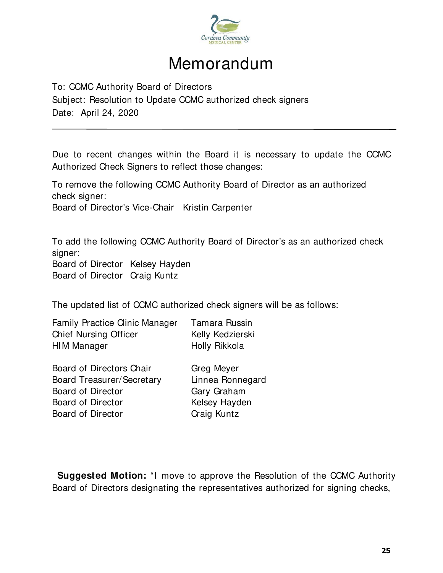

To: CCMC Authority Board of Directors

Subject: Resolution to Update CCMC authorized check signers Date: April 24, 2020

Due to recent changes within the Board it is necessary to update the CCMC Authorized Check Signers to reflect those changes:

To remove the following CCMC Authority Board of Director as an authorized check signer: Board of Director's Vice-Chair Kristin Carpenter

To add the following CCMC Authority Board of Director's as an authorized check signer:

Board of Director Kelsey Hayden Board of Director Craig Kuntz

The updated list of CCMC authorized check signers will be as follows:

| <b>Family Practice Clinic Manager</b> | Tamara Russin    |
|---------------------------------------|------------------|
| <b>Chief Nursing Officer</b>          | Kelly Kedzierski |
| HIM Manager                           | Holly Rikkola    |

Board of Directors Chair Greg Meyer Board Treasurer/Secretary Linnea Ronnegard Board of Director Gary Graham Board of Director **Kelsey Hayden** Board of Director Craig Kuntz

**Suggested Motion:** "I move to approve the Resolution of the CCMC Authority Board of Directors designating the representatives authorized for signing checks,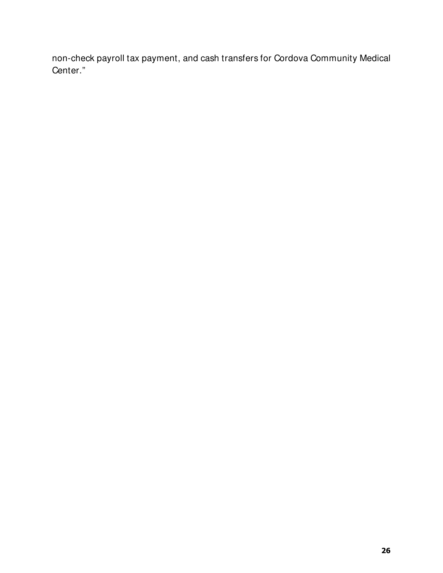non-check payroll tax payment, and cash transfers for Cordova Community Medical Center."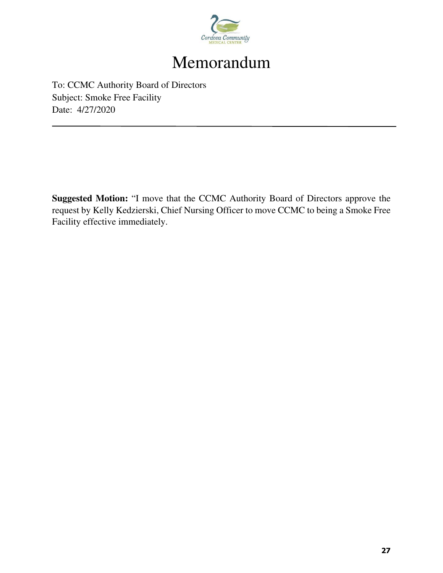

To: CCMC Authority Board of Directors Subject: Smoke Free Facility Date: 4/27/2020

**Suggested Motion:** "I move that the CCMC Authority Board of Directors approve the request by Kelly Kedzierski, Chief Nursing Officer to move CCMC to being a Smoke Free Facility effective immediately.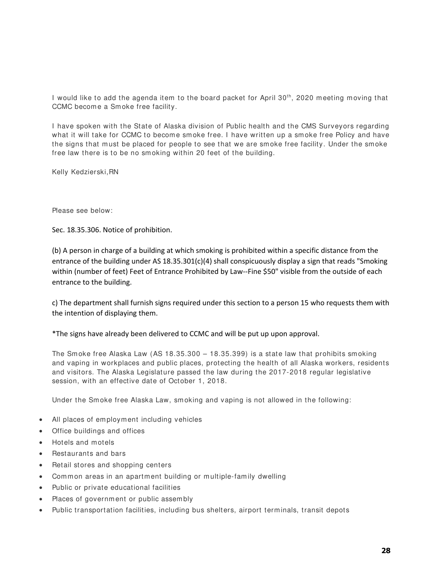I would like to add the agenda item to the board packet for April 30<sup>th</sup>, 2020 meeting moving that CCMC become a Smoke free facility.

I have spoken with the State of Alaska division of Public health and the CMS Surveyors regarding what it will take for CCMC to become smoke free. I have written up a smoke free Policy and have the signs that must be placed for people to see that we are smoke free facility. Under the smoke free law there is to be no sm oking within 20 feet of the building.

Kelly Kedzierski,RN

Please see below:

Sec. 18.35.306. Notice of prohibition.

(b) A person in charge of a building at which smoking is prohibited within a specific distance from the entrance of the building under AS 18.35.301(c)(4) shall conspicuously display a sign that reads "Smoking within (number of feet) Feet of Entrance Prohibited by Law‐‐Fine \$50" visible from the outside of each entrance to the building.

c) The department shall furnish signs required under this section to a person 15 who requests them with the intention of displaying them.

\*The signs have already been delivered to CCMC and will be put up upon approval.

The Smoke free Alaska Law (AS 18.35.300 – 18.35.399) is a state law that prohibits smoking and vaping in workplaces and public places, protecting the health of all Alaska workers, residents and visitors. The Alaska Legislature passed the law during the 2017-2018 regular legislative session, with an effective date of October 1, 2018.

Under the Smoke free Alaska Law, smoking and vaping is not allowed in the following:

- All places of employment including vehicles
- Office buildings and offices
- Hotels and m otels
- Restaurants and bars
- Retail stores and shopping centers
- Common areas in an apartment building or multiple-family dwelling
- Public or private educational facilities
- Places of governm ent or public assem bly
- Public transportation facilities, including bus shelters, airport terminals, transit depots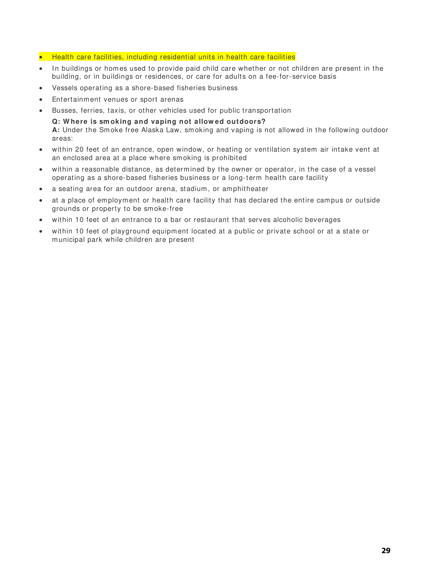- Health care facilities, including residential units in health care facilities
- In buildings or homes used to provide paid child care whether or not children are present in the building, or in buildings or residences, or care for adults on a fee-for-service basis
- Vessels operating as a shore-based fisheries business
- Entertainm ent venues or sport arenas
- Busses, ferries, taxis, or other vehicles used for public transportation

**Q: W here is sm oking and vaping not allow ed outdoors? A:** Under the Sm oke free Alaska Law, sm oking and vaping is not allowed in the following outdoor areas:

- within 20 feet of an entrance, open window, or heating or ventilation system air intake vent at an enclosed area at a place where sm oking is prohibited
- within a reasonable distance, as determ ined by the owner or operator, in the case of a vessel operating as a shore-based fisheries business or a long-term health care facility
- a seating area for an outdoor arena, stadium, or amphitheater
- at a place of em ploym ent or health care facility that has declared the entire cam pus or outside grounds or property to be sm oke-free
- within 10 feet of an entrance to a bar or restaurant that serves alcoholic beverages
- within 10 feet of playground equipment located at a public or private school or at a state or municipal park while children are present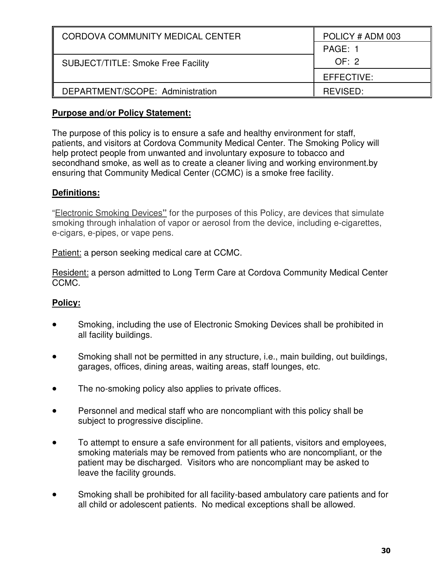| CORDOVA COMMUNITY MEDICAL CENTER          | POLICY # ADM 003 |
|-------------------------------------------|------------------|
|                                           | PAGE: 1          |
| <b>SUBJECT/TITLE: Smoke Free Facility</b> | OF: 2            |
|                                           | EFFECTIVE:       |
| DEPARTMENT/SCOPE: Administration          | REVISED:         |

### **Purpose and/or Policy Statement:**

The purpose of this policy is to ensure a safe and healthy environment for staff, patients, and visitors at Cordova Community Medical Center. The Smoking Policy will help protect people from unwanted and involuntary exposure to tobacco and secondhand smoke, as well as to create a cleaner living and working environment.by ensuring that Community Medical Center (CCMC) is a smoke free facility.

## **Definitions:**

"Electronic Smoking Devices**"** for the purposes of this Policy, are devices that simulate smoking through inhalation of vapor or aerosol from the device, including e-cigarettes, e-cigars, e-pipes, or vape pens.

Patient: a person seeking medical care at CCMC.

Resident: a person admitted to Long Term Care at Cordova Community Medical Center CCMC.

## **Policy:**

- Smoking, including the use of Electronic Smoking Devices shall be prohibited in all facility buildings.
- Smoking shall not be permitted in any structure, i.e., main building, out buildings, garages, offices, dining areas, waiting areas, staff lounges, etc.
- The no-smoking policy also applies to private offices.
- Personnel and medical staff who are noncompliant with this policy shall be subject to progressive discipline.
- To attempt to ensure a safe environment for all patients, visitors and employees, smoking materials may be removed from patients who are noncompliant, or the patient may be discharged. Visitors who are noncompliant may be asked to leave the facility grounds.
- Smoking shall be prohibited for all facility-based ambulatory care patients and for all child or adolescent patients. No medical exceptions shall be allowed.